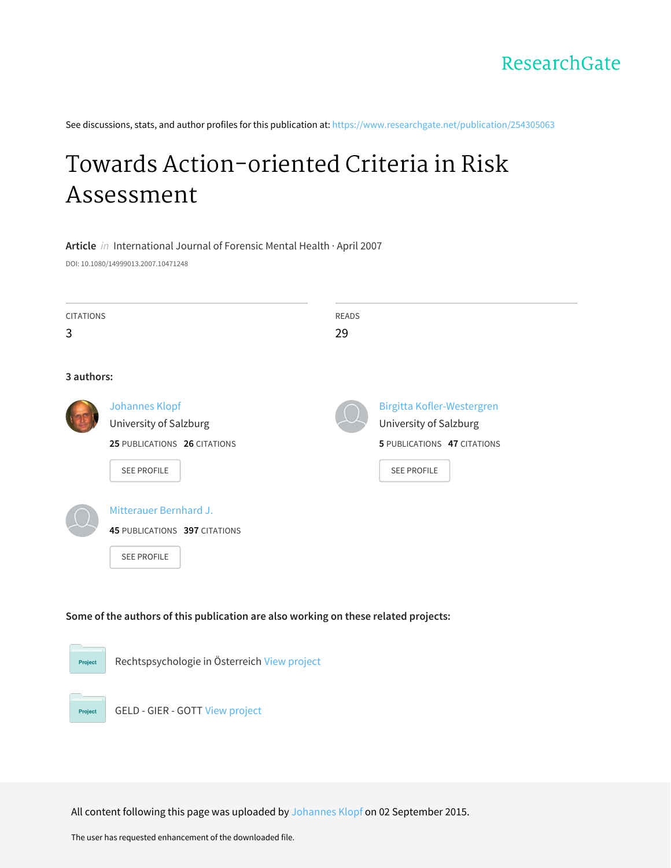See discussions, stats, and author profiles for this publication at: [https://www.researchgate.net/publication/254305063](https://www.researchgate.net/publication/254305063_Towards_Action-oriented_Criteria_in_Risk_Assessment?enrichId=rgreq-5a5af3a8dd93be0e0bbcdc6d4206d155-XXX&enrichSource=Y292ZXJQYWdlOzI1NDMwNTA2MztBUzoyNjkxNjM0MDI4ODcxNjhAMTQ0MTE4NDk2NDgwNA%3D%3D&el=1_x_2&_esc=publicationCoverPdf)

# Towards [Action-oriented](https://www.researchgate.net/publication/254305063_Towards_Action-oriented_Criteria_in_Risk_Assessment?enrichId=rgreq-5a5af3a8dd93be0e0bbcdc6d4206d155-XXX&enrichSource=Y292ZXJQYWdlOzI1NDMwNTA2MztBUzoyNjkxNjM0MDI4ODcxNjhAMTQ0MTE4NDk2NDgwNA%3D%3D&el=1_x_3&_esc=publicationCoverPdf) Criteria in Risk Assessment

# **Article** in International Journal of Forensic Mental Health · April 2007

DOI: 10.1080/14999013.2007.10471248

| <b>CITATIONS</b><br>3 |                               | <b>READS</b><br>29 |                             |
|-----------------------|-------------------------------|--------------------|-----------------------------|
| 3 authors:            |                               |                    |                             |
|                       | <b>Johannes Klopf</b>         |                    | Birgitta Kofler-Westergren  |
|                       | University of Salzburg        |                    | University of Salzburg      |
|                       | 25 PUBLICATIONS 26 CITATIONS  |                    | 5 PUBLICATIONS 47 CITATIONS |
|                       | <b>SEE PROFILE</b>            |                    | <b>SEE PROFILE</b>          |
|                       | Mitterauer Bernhard J.        |                    |                             |
|                       | 45 PUBLICATIONS 397 CITATIONS |                    |                             |
|                       | SEE PROFILE                   |                    |                             |

#### **Some of the authors of this publication are also working on these related projects:**



All content following this page was uploaded by [Johannes](https://www.researchgate.net/profile/Johannes_Klopf?enrichId=rgreq-5a5af3a8dd93be0e0bbcdc6d4206d155-XXX&enrichSource=Y292ZXJQYWdlOzI1NDMwNTA2MztBUzoyNjkxNjM0MDI4ODcxNjhAMTQ0MTE4NDk2NDgwNA%3D%3D&el=1_x_10&_esc=publicationCoverPdf) Klopf on 02 September 2015.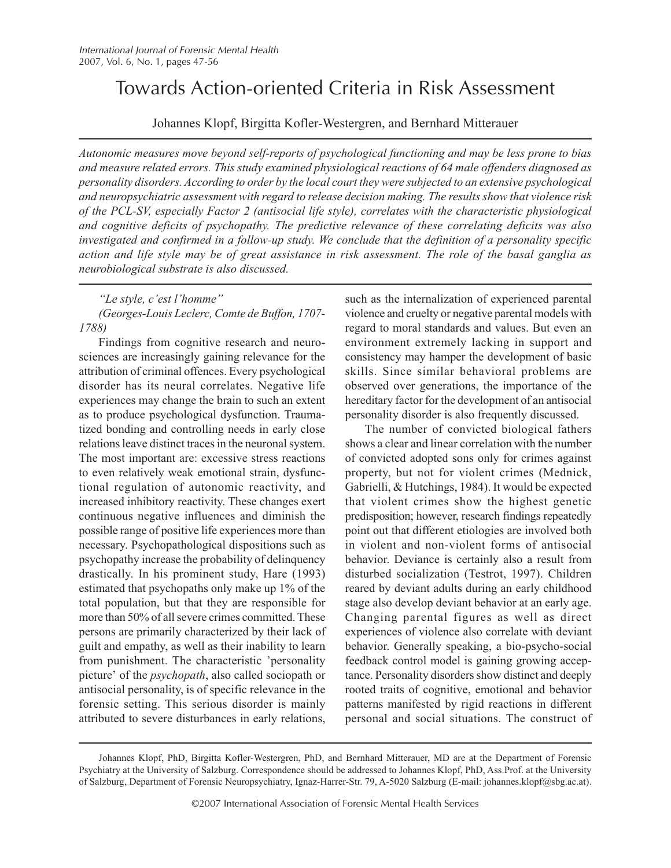# Towards Action-oriented Criteria in Risk Assessment

Johannes Klopf, Birgitta Kofler-Westergren, and Bernhard Mitterauer

*Autonomic measures move beyond self-reports of psychological functioning and may be less prone to bias and measure related errors. This study examined physiological reactions of 64 male offenders diagnosed as personality disorders. According to order by the local court they were subjected to an extensive psychological and neuropsychiatric assessment with regard to release decision making. The results show that violence risk of the PCL-SV, especially Factor 2 (antisocial life style), correlates with the characteristic physiological and cognitive deficits of psychopathy. The predictive relevance of these correlating deficits was also investigated and confirmed in a follow-up study. We conclude that the definition of a personality specific action and life style may be of great assistance in risk assessment. The role of the basal ganglia as neurobiological substrate is also discussed.*

*"Le style, c'est l'homme" (Georges-Louis Leclerc, Comte de Buffon, 1707- 1788)*

Findings from cognitive research and neurosciences are increasingly gaining relevance for the attribution of criminal offences. Every psychological disorder has its neural correlates. Negative life experiences may change the brain to such an extent as to produce psychological dysfunction. Traumatized bonding and controlling needs in early close relations leave distinct traces in the neuronal system. The most important are: excessive stress reactions to even relatively weak emotional strain, dysfunctional regulation of autonomic reactivity, and increased inhibitory reactivity. These changes exert continuous negative influences and diminish the possible range of positive life experiences more than necessary. Psychopathological dispositions such as psychopathy increase the probability of delinquency drastically. In his prominent study, Hare (1993) estimated that psychopaths only make up 1% of the total population, but that they are responsible for more than 50% of all severe crimes committed. These persons are primarily characterized by their lack of guilt and empathy, as well as their inability to learn from punishment. The characteristic 'personality picture' of the *psychopath*, also called sociopath or antisocial personality, is of specific relevance in the forensic setting. This serious disorder is mainly attributed to severe disturbances in early relations,

such as the internalization of experienced parental violence and cruelty or negative parental models with regard to moral standards and values. But even an environment extremely lacking in support and consistency may hamper the development of basic skills. Since similar behavioral problems are observed over generations, the importance of the hereditary factor for the development of an antisocial personality disorder is also frequently discussed.

The number of convicted biological fathers shows a clear and linear correlation with the number of convicted adopted sons only for crimes against property, but not for violent crimes (Mednick, Gabrielli, & Hutchings, 1984). It would be expected that violent crimes show the highest genetic predisposition; however, research findings repeatedly point out that different etiologies are involved both in violent and non-violent forms of antisocial behavior. Deviance is certainly also a result from disturbed socialization (Testrot, 1997). Children reared by deviant adults during an early childhood stage also develop deviant behavior at an early age. Changing parental figures as well as direct experiences of violence also correlate with deviant behavior. Generally speaking, a bio-psycho-social feedback control model is gaining growing acceptance. Personality disorders show distinct and deeply rooted traits of cognitive, emotional and behavior patterns manifested by rigid reactions in different personal and social situations. The construct of

Johannes Klopf, PhD, Birgitta Kofler-Westergren, PhD, and Bernhard Mitterauer, MD are at the Department of Forensic Psychiatry at the University of Salzburg. Correspondence should be addressed to Johannes Klopf, PhD, Ass.Prof. at the University of Salzburg, Department of Forensic Neuropsychiatry, Ignaz-Harrer-Str. 79, A-5020 Salzburg (E-mail: johannes.klopf@sbg.ac.at).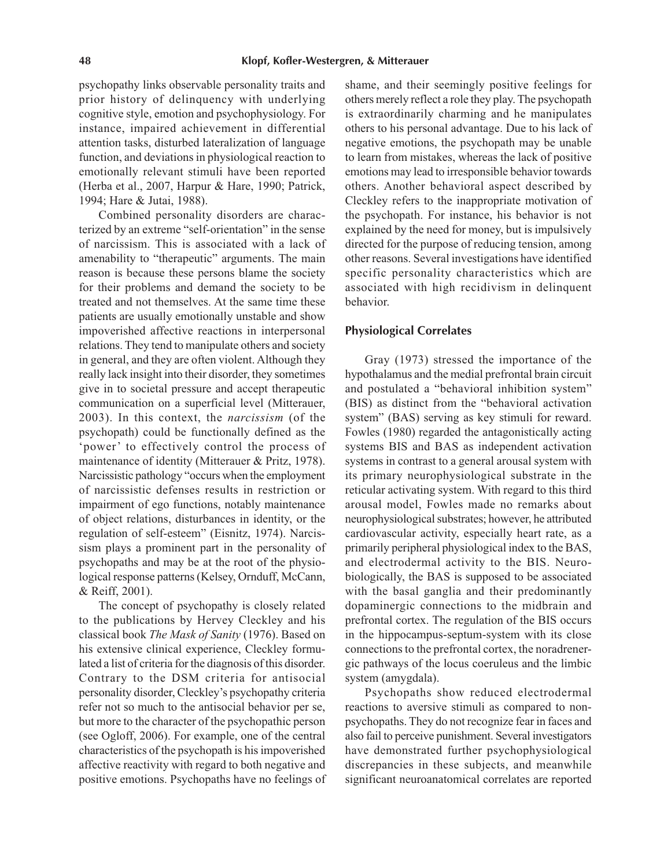psychopathy links observable personality traits and prior history of delinquency with underlying cognitive style, emotion and psychophysiology. For instance, impaired achievement in differential attention tasks, disturbed lateralization of language function, and deviations in physiological reaction to emotionally relevant stimuli have been reported (Herba et al., 2007, Harpur & Hare, 1990; Patrick, 1994; Hare & Jutai, 1988).

Combined personality disorders are characterized by an extreme "self-orientation" in the sense of narcissism. This is associated with a lack of amenability to "therapeutic" arguments. The main reason is because these persons blame the society for their problems and demand the society to be treated and not themselves. At the same time these patients are usually emotionally unstable and show impoverished affective reactions in interpersonal relations. They tend to manipulate others and society in general, and they are often violent. Although they really lack insight into their disorder, they sometimes give in to societal pressure and accept therapeutic communication on a superficial level (Mitterauer, 2003). In this context, the *narcissism* (of the psychopath) could be functionally defined as the 'power' to effectively control the process of maintenance of identity (Mitterauer & Pritz, 1978). Narcissistic pathology "occurs when the employment of narcissistic defenses results in restriction or impairment of ego functions, notably maintenance of object relations, disturbances in identity, or the regulation of self-esteem" (Eisnitz, 1974). Narcissism plays a prominent part in the personality of psychopaths and may be at the root of the physiological response patterns (Kelsey, Ornduff, McCann, & Reiff, 2001).

The concept of psychopathy is closely related to the publications by Hervey Cleckley and his classical book *The Mask of Sanity* (1976). Based on his extensive clinical experience, Cleckley formulated a list of criteria for the diagnosis of this disorder. Contrary to the DSM criteria for antisocial personality disorder, Cleckley's psychopathy criteria refer not so much to the antisocial behavior per se, but more to the character of the psychopathic person (see Ogloff, 2006). For example, one of the central characteristics of the psychopath is his impoverished affective reactivity with regard to both negative and positive emotions. Psychopaths have no feelings of shame, and their seemingly positive feelings for others merely reflect a role they play. The psychopath is extraordinarily charming and he manipulates others to his personal advantage. Due to his lack of negative emotions, the psychopath may be unable to learn from mistakes, whereas the lack of positive emotions may lead to irresponsible behavior towards others. Another behavioral aspect described by Cleckley refers to the inappropriate motivation of the psychopath. For instance, his behavior is not explained by the need for money, but is impulsively directed for the purpose of reducing tension, among other reasons. Several investigations have identified specific personality characteristics which are associated with high recidivism in delinquent behavior.

#### **Physiological Correlates**

Gray (1973) stressed the importance of the hypothalamus and the medial prefrontal brain circuit and postulated a "behavioral inhibition system" (BIS) as distinct from the "behavioral activation system" (BAS) serving as key stimuli for reward. Fowles (1980) regarded the antagonistically acting systems BIS and BAS as independent activation systems in contrast to a general arousal system with its primary neurophysiological substrate in the reticular activating system. With regard to this third arousal model, Fowles made no remarks about neurophysiological substrates; however, he attributed cardiovascular activity, especially heart rate, as a primarily peripheral physiological index to the BAS, and electrodermal activity to the BIS. Neurobiologically, the BAS is supposed to be associated with the basal ganglia and their predominantly dopaminergic connections to the midbrain and prefrontal cortex. The regulation of the BIS occurs in the hippocampus-septum-system with its close connections to the prefrontal cortex, the noradrenergic pathways of the locus coeruleus and the limbic system (amygdala).

Psychopaths show reduced electrodermal reactions to aversive stimuli as compared to nonpsychopaths. They do not recognize fear in faces and also fail to perceive punishment. Several investigators have demonstrated further psychophysiological discrepancies in these subjects, and meanwhile significant neuroanatomical correlates are reported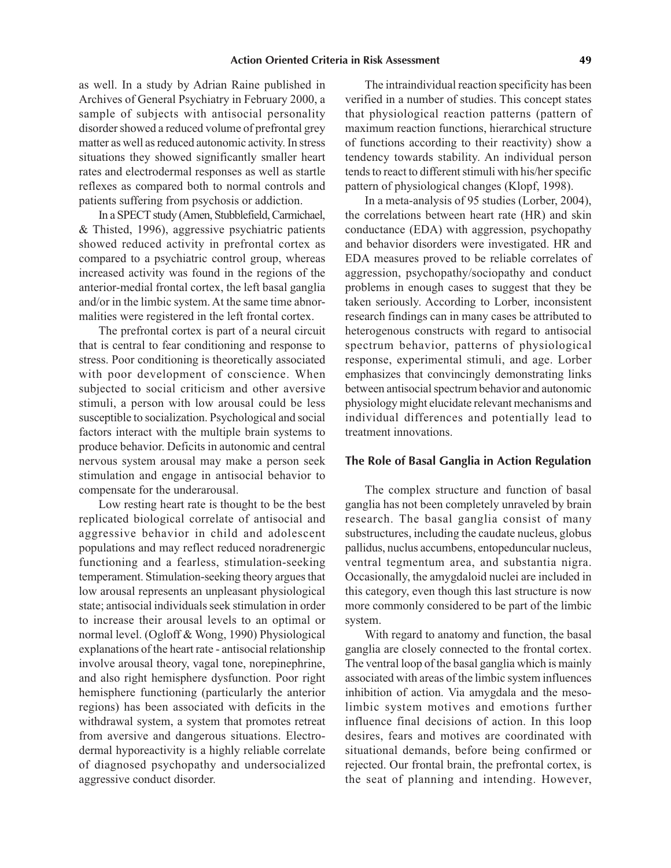as well. In a study by Adrian Raine published in Archives of General Psychiatry in February 2000, a sample of subjects with antisocial personality disorder showed a reduced volume of prefrontal grey matter as well as reduced autonomic activity. In stress situations they showed significantly smaller heart rates and electrodermal responses as well as startle reflexes as compared both to normal controls and patients suffering from psychosis or addiction.

In a SPECT study (Amen, Stubblefield, Carmichael, & Thisted, 1996), aggressive psychiatric patients showed reduced activity in prefrontal cortex as compared to a psychiatric control group, whereas increased activity was found in the regions of the anterior-medial frontal cortex, the left basal ganglia and/or in the limbic system. At the same time abnormalities were registered in the left frontal cortex.

The prefrontal cortex is part of a neural circuit that is central to fear conditioning and response to stress. Poor conditioning is theoretically associated with poor development of conscience. When subjected to social criticism and other aversive stimuli, a person with low arousal could be less susceptible to socialization. Psychological and social factors interact with the multiple brain systems to produce behavior. Deficits in autonomic and central nervous system arousal may make a person seek stimulation and engage in antisocial behavior to compensate for the underarousal.

Low resting heart rate is thought to be the best replicated biological correlate of antisocial and aggressive behavior in child and adolescent populations and may reflect reduced noradrenergic functioning and a fearless, stimulation-seeking temperament. Stimulation-seeking theory argues that low arousal represents an unpleasant physiological state; antisocial individuals seek stimulation in order to increase their arousal levels to an optimal or normal level. (Ogloff & Wong, 1990) Physiological explanations of the heart rate - antisocial relationship involve arousal theory, vagal tone, norepinephrine, and also right hemisphere dysfunction. Poor right hemisphere functioning (particularly the anterior regions) has been associated with deficits in the withdrawal system, a system that promotes retreat from aversive and dangerous situations. Electrodermal hyporeactivity is a highly reliable correlate of diagnosed psychopathy and undersocialized aggressive conduct disorder.

The intraindividual reaction specificity has been verified in a number of studies. This concept states that physiological reaction patterns (pattern of maximum reaction functions, hierarchical structure of functions according to their reactivity) show a tendency towards stability. An individual person tends to react to different stimuli with his/her specific pattern of physiological changes (Klopf, 1998).

In a meta-analysis of 95 studies (Lorber, 2004), the correlations between heart rate (HR) and skin conductance (EDA) with aggression, psychopathy and behavior disorders were investigated. HR and EDA measures proved to be reliable correlates of aggression, psychopathy/sociopathy and conduct problems in enough cases to suggest that they be taken seriously. According to Lorber, inconsistent research findings can in many cases be attributed to heterogenous constructs with regard to antisocial spectrum behavior, patterns of physiological response, experimental stimuli, and age. Lorber emphasizes that convincingly demonstrating links between antisocial spectrum behavior and autonomic physiology might elucidate relevant mechanisms and individual differences and potentially lead to treatment innovations.

#### **The Role of Basal Ganglia in Action Regulation**

The complex structure and function of basal ganglia has not been completely unraveled by brain research. The basal ganglia consist of many substructures, including the caudate nucleus, globus pallidus, nuclus accumbens, entopeduncular nucleus, ventral tegmentum area, and substantia nigra. Occasionally, the amygdaloid nuclei are included in this category, even though this last structure is now more commonly considered to be part of the limbic system.

With regard to anatomy and function, the basal ganglia are closely connected to the frontal cortex. The ventral loop of the basal ganglia which is mainly associated with areas of the limbic system influences inhibition of action. Via amygdala and the mesolimbic system motives and emotions further influence final decisions of action. In this loop desires, fears and motives are coordinated with situational demands, before being confirmed or rejected. Our frontal brain, the prefrontal cortex, is the seat of planning and intending. However,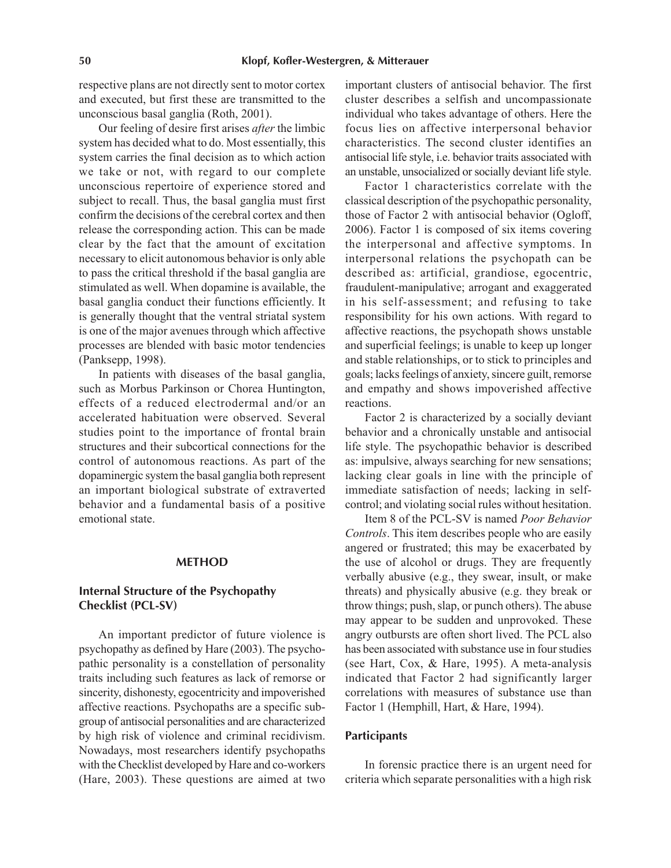respective plans are not directly sent to motor cortex and executed, but first these are transmitted to the unconscious basal ganglia (Roth, 2001).

Our feeling of desire first arises *after* the limbic system has decided what to do. Most essentially, this system carries the final decision as to which action we take or not, with regard to our complete unconscious repertoire of experience stored and subject to recall. Thus, the basal ganglia must first confirm the decisions of the cerebral cortex and then release the corresponding action. This can be made clear by the fact that the amount of excitation necessary to elicit autonomous behavior is only able to pass the critical threshold if the basal ganglia are stimulated as well. When dopamine is available, the basal ganglia conduct their functions efficiently. It is generally thought that the ventral striatal system is one of the major avenues through which affective processes are blended with basic motor tendencies (Panksepp, 1998).

In patients with diseases of the basal ganglia, such as Morbus Parkinson or Chorea Huntington, effects of a reduced electrodermal and/or an accelerated habituation were observed. Several studies point to the importance of frontal brain structures and their subcortical connections for the control of autonomous reactions. As part of the dopaminergic system the basal ganglia both represent an important biological substrate of extraverted behavior and a fundamental basis of a positive emotional state.

#### **METHOD**

## **Internal Structure of the Psychopathy Checklist (PCL-SV)**

An important predictor of future violence is psychopathy as defined by Hare (2003). The psychopathic personality is a constellation of personality traits including such features as lack of remorse or sincerity, dishonesty, egocentricity and impoverished affective reactions. Psychopaths are a specific subgroup of antisocial personalities and are characterized by high risk of violence and criminal recidivism. Nowadays, most researchers identify psychopaths with the Checklist developed by Hare and co-workers (Hare, 2003). These questions are aimed at two important clusters of antisocial behavior. The first cluster describes a selfish and uncompassionate individual who takes advantage of others. Here the focus lies on affective interpersonal behavior characteristics. The second cluster identifies an antisocial life style, i.e. behavior traits associated with an unstable, unsocialized or socially deviant life style.

Factor 1 characteristics correlate with the classical description of the psychopathic personality, those of Factor 2 with antisocial behavior (Ogloff, 2006). Factor 1 is composed of six items covering the interpersonal and affective symptoms. In interpersonal relations the psychopath can be described as: artificial, grandiose, egocentric, fraudulent-manipulative; arrogant and exaggerated in his self-assessment; and refusing to take responsibility for his own actions. With regard to affective reactions, the psychopath shows unstable and superficial feelings; is unable to keep up longer and stable relationships, or to stick to principles and goals; lacks feelings of anxiety, sincere guilt, remorse and empathy and shows impoverished affective reactions.

Factor 2 is characterized by a socially deviant behavior and a chronically unstable and antisocial life style. The psychopathic behavior is described as: impulsive, always searching for new sensations; lacking clear goals in line with the principle of immediate satisfaction of needs; lacking in selfcontrol; and violating social rules without hesitation.

Item 8 of the PCL-SV is named *Poor Behavior Controls*. This item describes people who are easily angered or frustrated; this may be exacerbated by the use of alcohol or drugs. They are frequently verbally abusive (e.g., they swear, insult, or make threats) and physically abusive (e.g. they break or throw things; push, slap, or punch others). The abuse may appear to be sudden and unprovoked. These angry outbursts are often short lived. The PCL also has been associated with substance use in four studies (see Hart, Cox, & Hare, 1995). A meta-analysis indicated that Factor 2 had significantly larger correlations with measures of substance use than Factor 1 (Hemphill, Hart, & Hare, 1994).

#### **Participants**

In forensic practice there is an urgent need for criteria which separate personalities with a high risk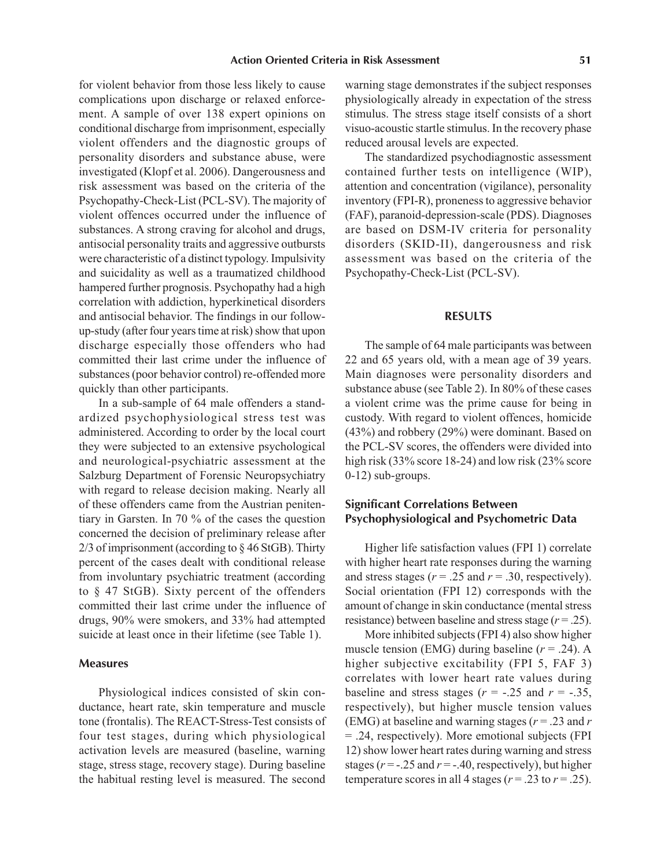complications upon discharge or relaxed enforcement. A sample of over 138 expert opinions on conditional discharge from imprisonment, especially violent offenders and the diagnostic groups of personality disorders and substance abuse, were investigated (Klopf et al. 2006). Dangerousness and risk assessment was based on the criteria of the Psychopathy-Check-List (PCL-SV). The majority of violent offences occurred under the influence of substances. A strong craving for alcohol and drugs, antisocial personality traits and aggressive outbursts were characteristic of a distinct typology. Impulsivity and suicidality as well as a traumatized childhood hampered further prognosis. Psychopathy had a high correlation with addiction, hyperkinetical disorders and antisocial behavior. The findings in our followup-study (after four years time at risk) show that upon discharge especially those offenders who had committed their last crime under the influence of substances (poor behavior control) re-offended more quickly than other participants.

for violent behavior from those less likely to cause

In a sub-sample of 64 male offenders a standardized psychophysiological stress test was administered. According to order by the local court they were subjected to an extensive psychological and neurological-psychiatric assessment at the Salzburg Department of Forensic Neuropsychiatry with regard to release decision making. Nearly all of these offenders came from the Austrian penitentiary in Garsten. In 70 % of the cases the question concerned the decision of preliminary release after 2/3 of imprisonment (according to § 46 StGB). Thirty percent of the cases dealt with conditional release from involuntary psychiatric treatment (according to § 47 StGB). Sixty percent of the offenders committed their last crime under the influence of drugs, 90% were smokers, and 33% had attempted suicide at least once in their lifetime (see Table 1).

#### **Measures**

Physiological indices consisted of skin conductance, heart rate, skin temperature and muscle tone (frontalis). The REACT-Stress-Test consists of four test stages, during which physiological activation levels are measured (baseline, warning stage, stress stage, recovery stage). During baseline the habitual resting level is measured. The second stimulus. The stress stage itself consists of a short visuo-acoustic startle stimulus. In the recovery phase reduced arousal levels are expected. The standardized psychodiagnostic assessment contained further tests on intelligence (WIP), attention and concentration (vigilance), personality

inventory (FPI-R), proneness to aggressive behavior (FAF), paranoid-depression-scale (PDS). Diagnoses are based on DSM-IV criteria for personality disorders (SKID-II), dangerousness and risk assessment was based on the criteria of the Psychopathy-Check-List (PCL-SV).

#### **RESULTS**

The sample of 64 male participants was between 22 and 65 years old, with a mean age of 39 years. Main diagnoses were personality disorders and substance abuse (see Table 2). In 80% of these cases a violent crime was the prime cause for being in custody. With regard to violent offences, homicide (43%) and robbery (29%) were dominant. Based on the PCL-SV scores, the offenders were divided into high risk (33% score 18-24) and low risk (23% score 0-12) sub-groups.

# **Significant Correlations Between Psychophysiological and Psychometric Data**

Higher life satisfaction values (FPI 1) correlate with higher heart rate responses during the warning and stress stages ( $r = .25$  and  $r = .30$ , respectively). Social orientation (FPI 12) corresponds with the amount of change in skin conductance (mental stress resistance) between baseline and stress stage (*r* = .25).

More inhibited subjects (FPI 4) also show higher muscle tension (EMG) during baseline (*r* = .24). A higher subjective excitability (FPI 5, FAF 3) correlates with lower heart rate values during baseline and stress stages ( $r = -.25$  and  $r = -.35$ , respectively), but higher muscle tension values (EMG) at baseline and warning stages (*r* = .23 and *r* = .24, respectively). More emotional subjects (FPI 12) show lower heart rates during warning and stress stages ( $r = -0.25$  and  $r = -0.40$ , respectively), but higher temperature scores in all 4 stages ( $r = .23$  to  $r = .25$ ).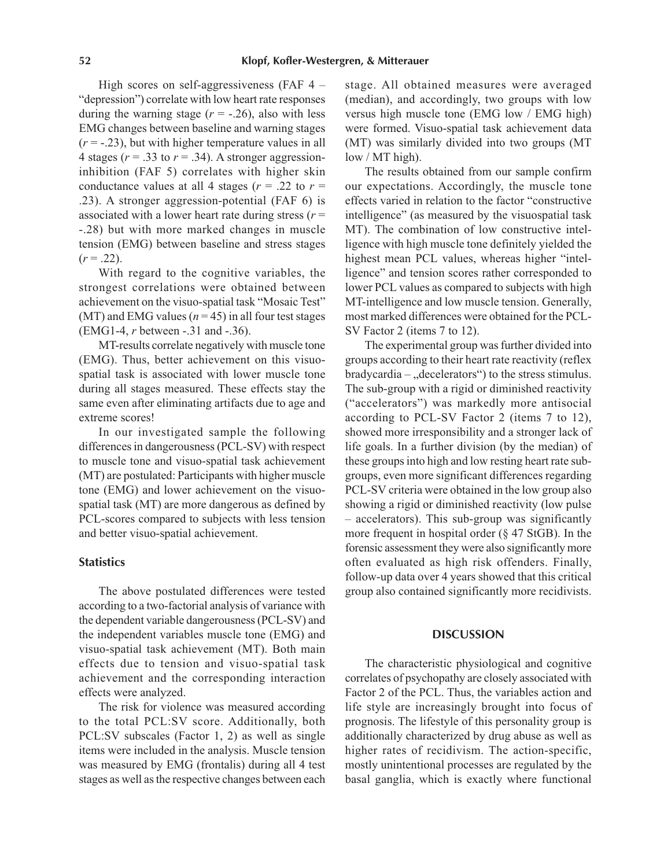High scores on self-aggressiveness (FAF  $4 -$ "depression") correlate with low heart rate responses during the warning stage  $(r = -.26)$ , also with less EMG changes between baseline and warning stages  $(r = -.23)$ , but with higher temperature values in all 4 stages ( $r = .33$  to  $r = .34$ ). A stronger aggressioninhibition (FAF 5) correlates with higher skin conductance values at all 4 stages ( $r = .22$  to  $r =$ .23). A stronger aggression-potential (FAF 6) is associated with a lower heart rate during stress (*r* = -.28) but with more marked changes in muscle tension (EMG) between baseline and stress stages  $(r=.22)$ .

With regard to the cognitive variables, the strongest correlations were obtained between achievement on the visuo-spatial task "Mosaic Test" (MT) and EMG values  $(n = 45)$  in all four test stages (EMG1-4, *r* between -.31 and -.36).

MT-results correlate negatively with muscle tone (EMG). Thus, better achievement on this visuospatial task is associated with lower muscle tone during all stages measured. These effects stay the same even after eliminating artifacts due to age and extreme scores!

In our investigated sample the following differences in dangerousness (PCL-SV) with respect to muscle tone and visuo-spatial task achievement (MT) are postulated: Participants with higher muscle tone (EMG) and lower achievement on the visuospatial task (MT) are more dangerous as defined by PCL-scores compared to subjects with less tension and better visuo-spatial achievement.

### **Statistics**

The above postulated differences were tested according to a two-factorial analysis of variance with the dependent variable dangerousness (PCL-SV) and the independent variables muscle tone (EMG) and visuo-spatial task achievement (MT). Both main effects due to tension and visuo-spatial task achievement and the corresponding interaction effects were analyzed.

The risk for violence was measured according to the total PCL:SV score. Additionally, both PCL:SV subscales (Factor 1, 2) as well as single items were included in the analysis. Muscle tension was measured by EMG (frontalis) during all 4 test stages as well as the respective changes between each stage. All obtained measures were averaged (median), and accordingly, two groups with low versus high muscle tone (EMG low / EMG high) were formed. Visuo-spatial task achievement data (MT) was similarly divided into two groups (MT low / MT high).

The results obtained from our sample confirm our expectations. Accordingly, the muscle tone effects varied in relation to the factor "constructive intelligence" (as measured by the visuospatial task MT). The combination of low constructive intelligence with high muscle tone definitely yielded the highest mean PCL values, whereas higher "intelligence" and tension scores rather corresponded to lower PCL values as compared to subjects with high MT-intelligence and low muscle tension. Generally, most marked differences were obtained for the PCL-SV Factor 2 (items 7 to 12).

The experimental group was further divided into groups according to their heart rate reactivity (reflex  $bradycardia -$ ,  $decelerators'$  to the stress stimulus. The sub-group with a rigid or diminished reactivity ("accelerators") was markedly more antisocial according to PCL-SV Factor 2 (items 7 to 12), showed more irresponsibility and a stronger lack of life goals. In a further division (by the median) of these groups into high and low resting heart rate subgroups, even more significant differences regarding PCL-SV criteria were obtained in the low group also showing a rigid or diminished reactivity (low pulse – accelerators). This sub-group was significantly more frequent in hospital order (§ 47 StGB). In the forensic assessment they were also significantly more often evaluated as high risk offenders. Finally, follow-up data over 4 years showed that this critical group also contained significantly more recidivists.

#### **DISCUSSION**

The characteristic physiological and cognitive correlates of psychopathy are closely associated with Factor 2 of the PCL. Thus, the variables action and life style are increasingly brought into focus of prognosis. The lifestyle of this personality group is additionally characterized by drug abuse as well as higher rates of recidivism. The action-specific, mostly unintentional processes are regulated by the basal ganglia, which is exactly where functional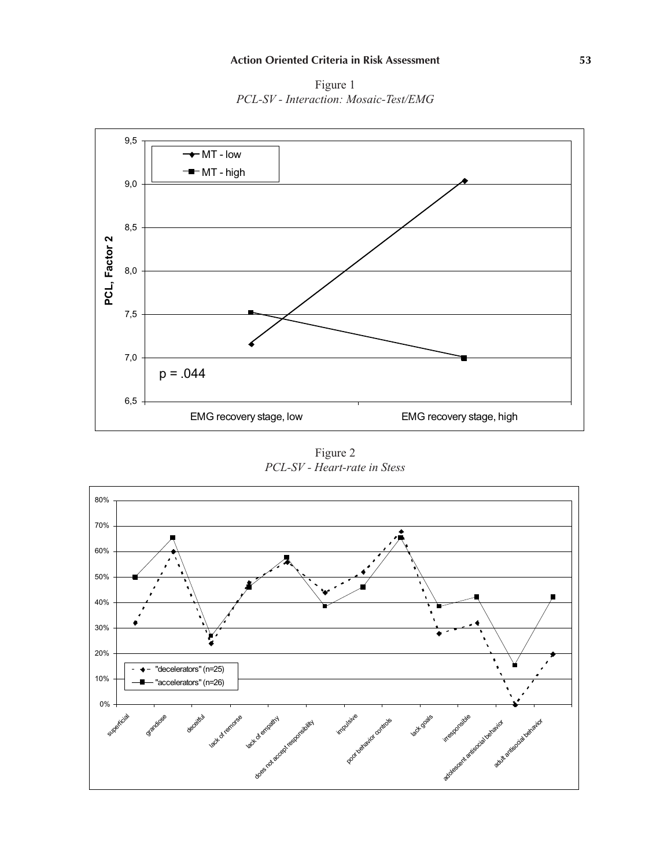Figure 1 *PCL-SV - Interaction: Mosaic-Test/EMG*



Figure 2 *PCL-SV - Heart-rate in Stess*

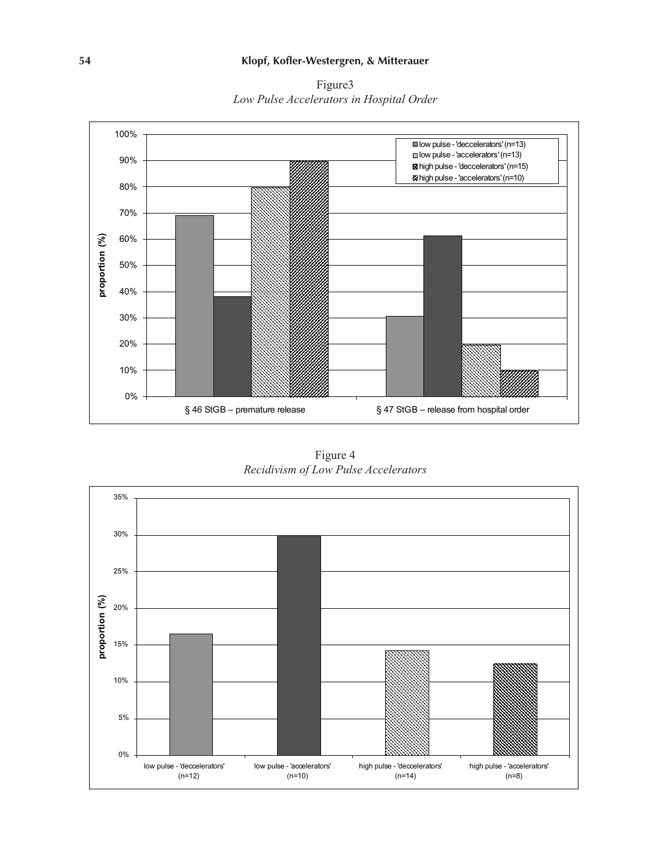# **54 Klopf, Kofler-Westergren, & Mitterauer**

Figure3 *Low Pulse Accelerators in Hospital Order*



Figure 4 *Recidivism of Low Pulse Accelerators*

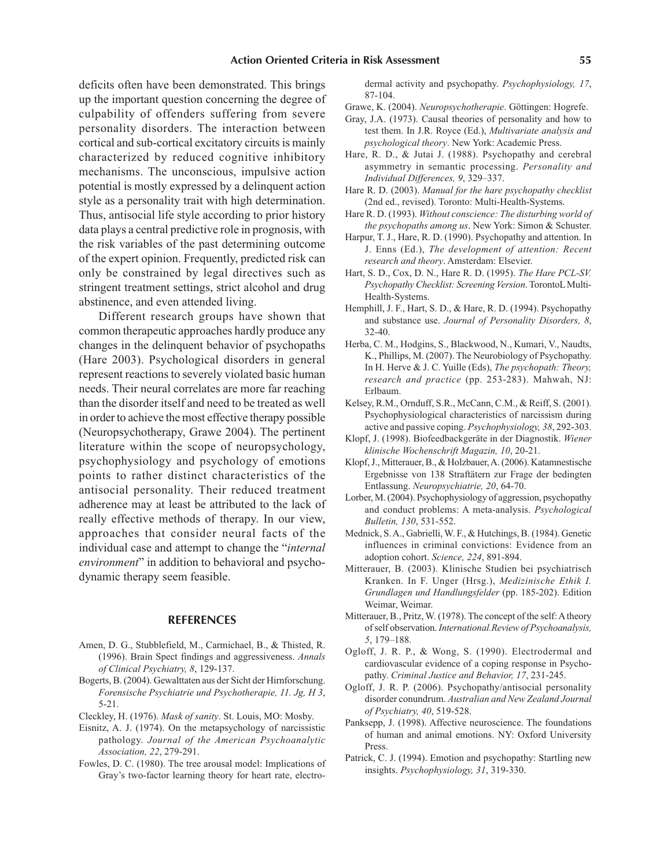deficits often have been demonstrated. This brings up the important question concerning the degree of culpability of offenders suffering from severe personality disorders. The interaction between cortical and sub-cortical excitatory circuits is mainly characterized by reduced cognitive inhibitory mechanisms. The unconscious, impulsive action potential is mostly expressed by a delinquent action style as a personality trait with high determination. Thus, antisocial life style according to prior history data plays a central predictive role in prognosis, with the risk variables of the past determining outcome of the expert opinion. Frequently, predicted risk can only be constrained by legal directives such as stringent treatment settings, strict alcohol and drug abstinence, and even attended living.

Different research groups have shown that common therapeutic approaches hardly produce any changes in the delinquent behavior of psychopaths (Hare 2003). Psychological disorders in general represent reactions to severely violated basic human needs. Their neural correlates are more far reaching than the disorder itself and need to be treated as well in order to achieve the most effective therapy possible (Neuropsychotherapy, Grawe 2004). The pertinent literature within the scope of neuropsychology, psychophysiology and psychology of emotions points to rather distinct characteristics of the antisocial personality. Their reduced treatment adherence may at least be attributed to the lack of really effective methods of therapy. In our view, approaches that consider neural facts of the individual case and attempt to change the "*internal environment*" in addition to behavioral and psychodynamic therapy seem feasible.

#### **REFERENCES**

- Amen, D. G., Stubblefield, M., Carmichael, B., & Thisted, R. (1996). Brain Spect findings and aggressiveness. *Annals of Clinical Psychiatry, 8*, 129-137.
- Bogerts, B. (2004). Gewalttaten aus der Sicht der Hirnforschung. *Forensische Psychiatrie und Psychotherapie, 11. Jg, H 3*, 5-21.
- Cleckley, H. (1976). *Mask of sanity*. St. Louis, MO: Mosby.
- Eisnitz, A. J. (1974). On the metapsychology of narcissistic pathology. *Journal of the American Psychoanalytic Association, 22*, 279-291.
- Fowles, D. C. (1980). The tree arousal model: Implications of Gray's two-factor learning theory for heart rate, electro-

dermal activity and psychopathy. *Psychophysiology, 17*, 87-104.

- Grawe, K. (2004). *Neuropsychotherapie*. Göttingen: Hogrefe.
- Gray, J.A. (1973). Causal theories of personality and how to test them. In J.R. Royce (Ed.), *Multivariate analysis and psychological theory*. New York: Academic Press.
- Hare, R. D., & Jutai J. (1988). Psychopathy and cerebral asymmetry in semantic processing. *Personality and Individual Differences, 9*, 329–337.
- Hare R. D. (2003). *Manual for the hare psychopathy checklist* (2nd ed., revised). Toronto: Multi-Health-Systems.
- Hare R. D. (1993). *Without conscience: The disturbing world of the psychopaths among us*. New York: Simon & Schuster.
- Harpur, T. J., Hare, R. D. (1990). Psychopathy and attention. In J. Enns (Ed.), *The development of attention: Recent research and theory*. Amsterdam: Elsevier.
- Hart, S. D., Cox, D. N., Hare R. D. (1995). *The Hare PCL-SV. Psychopathy Checklist: Screening Version*. TorontoL Multi-Health-Systems.
- Hemphill, J. F., Hart, S. D., & Hare, R. D. (1994). Psychopathy and substance use. *Journal of Personality Disorders, 8*, 32-40.
- Herba, C. M., Hodgins, S., Blackwood, N., Kumari, V., Naudts, K., Phillips, M. (2007). The Neurobiology of Psychopathy. In H. Herve & J. C. Yuille (Eds), *The psychopath: Theory, research and practice* (pp. 253-283). Mahwah, NJ: Erlbaum.
- Kelsey, R.M., Ornduff, S.R., McCann, C.M., & Reiff, S. (2001). Psychophysiological characteristics of narcissism during active and passive coping. *Psychophysiology, 38*, 292-303.
- Klopf, J. (1998). Biofeedbackgeräte in der Diagnostik. *Wiener klinische Wochenschrift Magazin, 10*, 20-21.
- Klopf, J., Mitterauer, B., & Holzbauer, A. (2006). Katamnestische Ergebnisse von 138 Straftätern zur Frage der bedingten Entlassung. *Neuropsychiatrie, 20*, 64-70.
- Lorber, M. (2004). Psychophysiology of aggression, psychopathy and conduct problems: A meta-analysis. *Psychological Bulletin, 130*, 531-552.
- Mednick, S. A., Gabrielli, W. F., & Hutchings, B. (1984). Genetic influences in criminal convictions: Evidence from an adoption cohort. *Science, 224*, 891-894.
- Mitterauer, B. (2003). Klinische Studien bei psychiatrisch Kranken. In F. Unger (Hrsg.), *Medizinische Ethik I. Grundlagen und Handlungsfelder* (pp. 185-202). Edition Weimar, Weimar.
- Mitterauer, B., Pritz, W. (1978). The concept of the self: A theory of self observation. *International.Review of Psychoanalysis, 5*, 179–188.
- Ogloff, J. R. P., & Wong, S. (1990). Electrodermal and cardiovascular evidence of a coping response in Psychopathy. *Criminal Justice and Behavior, 17*, 231-245.
- Ogloff, J. R. P. (2006). Psychopathy/antisocial personality disorder conundrum. *Australian and New Zealand Journal of Psychiatry, 40*, 519-528.
- Panksepp, J. (1998). Affective neuroscience. The foundations of human and animal emotions. NY: Oxford University Press.
- Patrick, C. J. (1994). Emotion and psychopathy: Startling new insights. *Psychophysiology, 31*, 319-330.